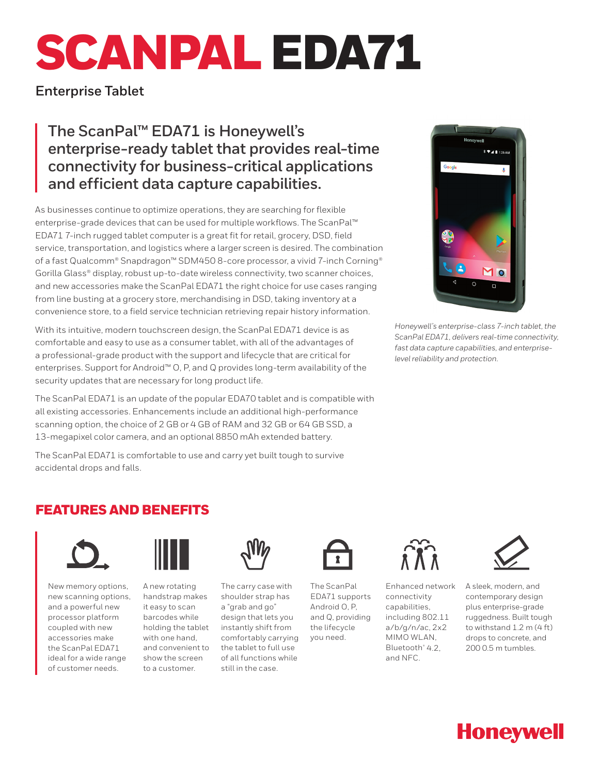# SCANPAL EDA71

**Enterprise Tablet**

**The ScanPal™ EDA71 is Honeywell's enterprise-ready tablet that provides real-time connectivity for business-critical applications and efficient data capture capabilities.**

As businesses continue to optimize operations, they are searching for flexible enterprise-grade devices that can be used for multiple workflows. The ScanPal™ EDA71 7-inch rugged tablet computer is a great fit for retail, grocery, DSD, field service, transportation, and logistics where a larger screen is desired. The combination of a fast Qualcomm® Snapdragon™ SDM450 8-core processor, a vivid 7-inch Corning® Gorilla Glass® display, robust up-to-date wireless connectivity, two scanner choices, and new accessories make the ScanPal EDA71 the right choice for use cases ranging from line busting at a grocery store, merchandising in DSD, taking inventory at a convenience store, to a field service technician retrieving repair history information.

With its intuitive, modern touchscreen design, the ScanPal EDA71 device is as comfortable and easy to use as a consumer tablet, with all of the advantages of a professional-grade product with the support and lifecycle that are critical for enterprises. Support for Android™ O, P, and Q provides long-term availability of the security updates that are necessary for long product life.

The ScanPal EDA71 is an update of the popular EDA70 tablet and is compatible with all existing accessories. Enhancements include an additional high-performance scanning option, the choice of 2 GB or 4 GB of RAM and 32 GB or 64 GB SSD, a 13-megapixel color camera, and an optional 8850 mAh extended battery.

The ScanPal EDA71 is comfortable to use and carry yet built tough to survive accidental drops and falls.



*Honeywell's enterprise-class 7-inch tablet, the ScanPal EDA71, delivers real-time connectivity, fast data capture capabilities, and enterpriselevel reliability and protection.*

## FEATURES AND BENEFITS



New memory options, new scanning options, and a powerful new processor platform coupled with new accessories make the ScanPal EDA71 ideal for a wide range of customer needs.



A new rotating handstrap makes it easy to scan barcodes while holding the tablet with one hand, and convenient to show the screen to a customer.



The carry case with shoulder strap has a "grab and go" design that lets you instantly shift from comfortably carrying the tablet to full use of all functions while still in the case.



The ScanPal EDA71 supports Android O, P, and Q, providing the lifecycle you need.



Enhanced network connectivity capabilities, including 802.11 a/b/g/n/ac, 2x2 MIMO WLAN, Bluetooth® 4.2, and NFC.



A sleek, modern, and contemporary design plus enterprise-grade ruggedness. Built tough to withstand 1.2 m (4 ft) drops to concrete, and 200 0.5 m tumbles.